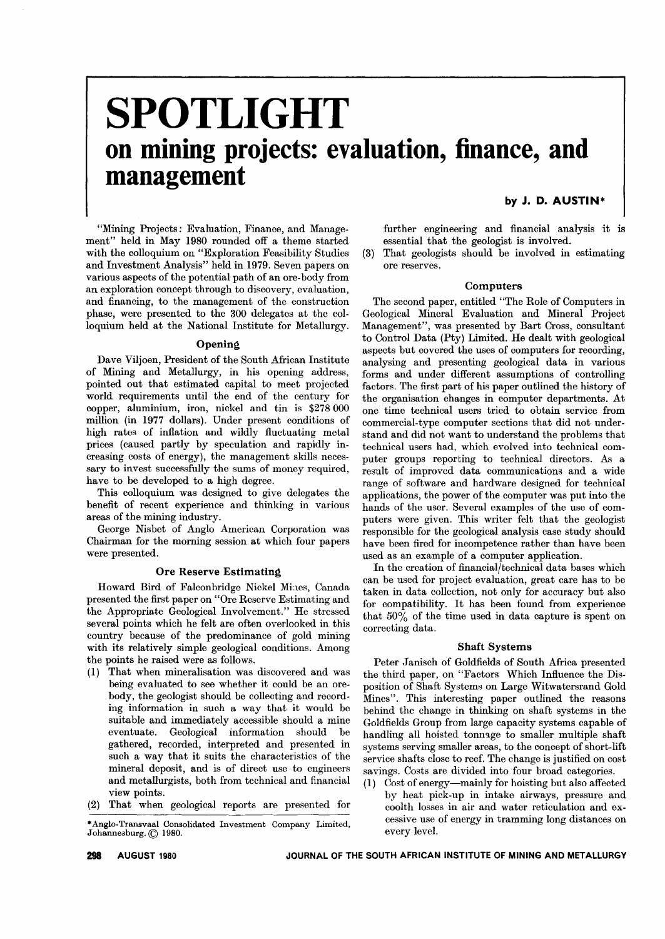# **SPOTLIGHT on mining projects: evaluation, finance, and management**

# by J. D. AUSTIN\*

"Mining Projects: Evaluation, Finance, and Management" held in May 1980 rounded off a theme started with the colloquium on "Exploration Feasibility Studies and Investment Analysis" held in 1979. Seven papers on various aspects of the potential path of an ore-body from an exploration concept through to discovery, evaluation, and financing, to the management of the construction phase, were presented to the 300 delegates at the colloquium held at the National Institute for Metallurgy.

#### **Opening**

Dave Viljoen, President of the South African Institute of Mining and Metallurgy, in his opening address, pointed out that estimated capital to meet projected world requirements until the end of the century for copper, aluminium, iron, nickel and tin is \$278 000 million (in 1977 dollars). Under present conditions of high rates of inflation and wildly fluctuating metal prices (caused partly by speculation and rapidly increasing costs of energy), the management skills necessary to invest successfully the sums of money required, have to be developed to a high degree.

This colloquium was designed to give delegates the benefit of recent experience and thinking in various areas of the mining industry.

George Nisbet of Anglo American Corporation was Chairman for the morning session at which four papers were presented.

## Ore Reserve Estimating

Howard Bird of Falconbridge Nickel Mines, Canada presented the first paper on "Ore Reserve Estimating and the Appropriate Geological Involvement." He stressed several points which he felt are often overlooked in this country because of the predominance of gold mining with its relatively simple geological conditions. Among the points he raised were as follows.

- (1) That when mineralisation was discovered and was being evaluated to see whether it could be an orebody, the geologist should be collecting and recording information in such a way that it would be suitable and immediately accessible should a mine eventuate. Geological information should be gathered, recorded, interpreted and presented in such a way that it suits the characteristics of the mineral deposit, and is of direct use to engineers and metallurgists, both from technical and financial view points.
- (2) That when geological reports are presented for

further engineering and financial analysis it is essential that the geologist is involved.

(3) That geologists should be involved in estimating ore reserves.

## Computers

The second paper, entitled "The Role of Computers in Geological Mineral Evaluation and Mineral Project Management", was presented by Bart Cross, consultant to Control Data (Pty) Limited. He dealt with geological aspects but covered the uses of computers for recording, analysing and presenting geological data in various forms and under different assumptions of controlling factors. The first part of his paper outlined the history of the organisation changes in computer departments. At one time technical users tried to obtain service from commercial-type computer sections that did not understand and did not want to understand the problems that technical users had, which evolved into technical computer groups reporting to technical directors. As a result of improved data communications and a wide range of software and hardware designed for technical applications, the power of the computer was put into the hands of the user. Several examples of the use of computers were given. This writer felt that the geologist responsible for the geological analysis case study should have been fired for incompetence rather than have been used as an example of a computer application.

In the creation of financial/technical data bases which can be used for project evaluation, great care has to be taken in data collection, not only for accuracy but also for compatibility. It has been found from experience that  $50\%$  of the time used in data capture is spent on correcting data.

#### Shaft Systems

Peter Janisch of Goldfields of South Africa presented the third paper, on "Factors Which Influence the Disposition of Shaft Systems on Large Witwatersrand Gold Mines". This interesting paper outlined the reasons behind the change in thinking on shaft systems in the Goldfields Group from large capacity systems capable of handling all hoisted tonnage to smaller multiple shaft systems serving smaller areas, to the concept of short-lift service shafts close to reef. The change is justified on cost savings. Costs are divided into four broad categories.

(1) Cost of energy-mainly for hoisting but also affected by heat pick-up in intake airways, pressure and coolth losses in air and water reticulation and excessive use of energy in tramming long distances on every level.

<sup>\*</sup> Johanne3burg.@ 1980. Anglo- Transvaal Consolidated Investment Company Limited,